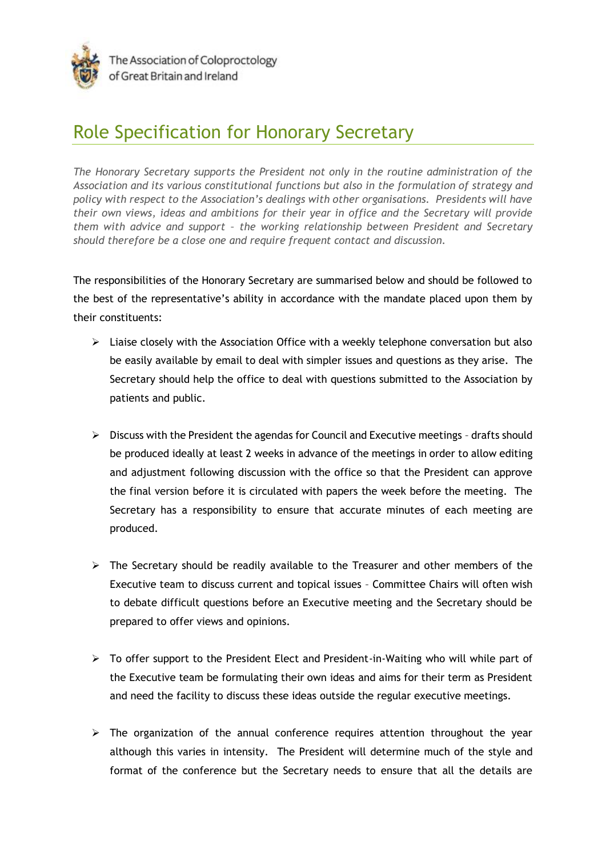

## Role Specification for Honorary Secretary

*The Honorary Secretary supports the President not only in the routine administration of the Association and its various constitutional functions but also in the formulation of strategy and policy with respect to the Association's dealings with other organisations. Presidents will have their own views, ideas and ambitions for their year in office and the Secretary will provide them with advice and support – the working relationship between President and Secretary should therefore be a close one and require frequent contact and discussion.*

The responsibilities of the Honorary Secretary are summarised below and should be followed to the best of the representative's ability in accordance with the mandate placed upon them by their constituents:

- $\triangleright$  Liaise closely with the Association Office with a weekly telephone conversation but also be easily available by email to deal with simpler issues and questions as they arise. The Secretary should help the office to deal with questions submitted to the Association by patients and public.
- $\triangleright$  Discuss with the President the agendas for Council and Executive meetings drafts should be produced ideally at least 2 weeks in advance of the meetings in order to allow editing and adjustment following discussion with the office so that the President can approve the final version before it is circulated with papers the week before the meeting. The Secretary has a responsibility to ensure that accurate minutes of each meeting are produced.
- $\triangleright$  The Secretary should be readily available to the Treasurer and other members of the Executive team to discuss current and topical issues – Committee Chairs will often wish to debate difficult questions before an Executive meeting and the Secretary should be prepared to offer views and opinions.
- $\triangleright$  To offer support to the President Elect and President-in-Waiting who will while part of the Executive team be formulating their own ideas and aims for their term as President and need the facility to discuss these ideas outside the regular executive meetings.
- $\triangleright$  The organization of the annual conference requires attention throughout the year although this varies in intensity. The President will determine much of the style and format of the conference but the Secretary needs to ensure that all the details are